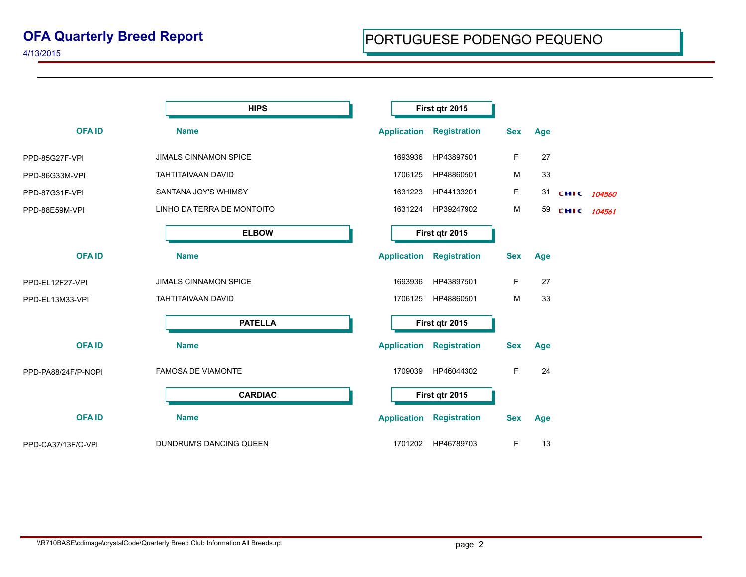|                     | <b>HIPS</b>                  |                    | First qtr 2015      |            |     |             |  |
|---------------------|------------------------------|--------------------|---------------------|------------|-----|-------------|--|
| <b>OFAID</b>        | <b>Name</b>                  | <b>Application</b> | <b>Registration</b> | <b>Sex</b> | Age |             |  |
| PPD-85G27F-VPI      | <b>JIMALS CINNAMON SPICE</b> | 1693936            | HP43897501          | F.         | 27  |             |  |
| PPD-86G33M-VPI      | TAHTITAIVAAN DAVID           | 1706125            | HP48860501          | М          | 33  |             |  |
| PPD-87G31F-VPI      | SANTANA JOY'S WHIMSY         | 1631223            | HP44133201          | F.         | 31  | CHIC 104560 |  |
| PPD-88E59M-VPI      | LINHO DA TERRA DE MONTOITO   | 1631224            | HP39247902          | M          | 59  | CHIC 104561 |  |
|                     | <b>ELBOW</b>                 |                    | First qtr 2015      |            |     |             |  |
| <b>OFAID</b>        | <b>Name</b>                  | <b>Application</b> | <b>Registration</b> | <b>Sex</b> | Age |             |  |
| PPD-EL12F27-VPI     | <b>JIMALS CINNAMON SPICE</b> | 1693936            | HP43897501          | F          | 27  |             |  |
| PPD-EL13M33-VPI     | TAHTITAIVAAN DAVID           | 1706125            | HP48860501          | М          | 33  |             |  |
|                     | <b>PATELLA</b>               |                    | First qtr 2015      |            |     |             |  |
| <b>OFAID</b>        | <b>Name</b>                  | <b>Application</b> | <b>Registration</b> | <b>Sex</b> | Age |             |  |
| PPD-PA88/24F/P-NOPI | <b>FAMOSA DE VIAMONTE</b>    | 1709039            | HP46044302          | F          | 24  |             |  |
|                     | <b>CARDIAC</b>               |                    | First qtr 2015      |            |     |             |  |
| <b>OFAID</b>        | <b>Name</b>                  | <b>Application</b> | <b>Registration</b> | <b>Sex</b> | Age |             |  |
| PPD-CA37/13F/C-VPI  | DUNDRUM'S DANCING QUEEN      | 1701202            | HP46789703          | F          | 13  |             |  |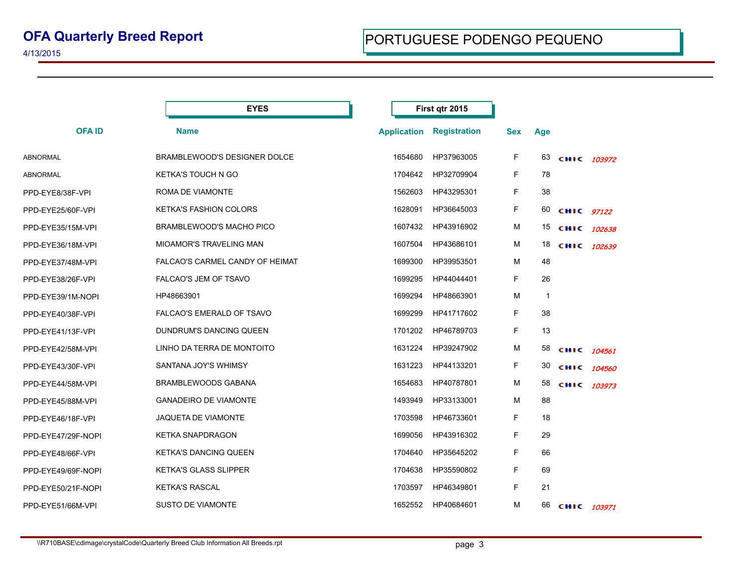|                    | <b>EYES</b>                     | First qtr 2015     |                     |            |     |             |        |
|--------------------|---------------------------------|--------------------|---------------------|------------|-----|-------------|--------|
| <b>OFAID</b>       | <b>Name</b>                     | <b>Application</b> | <b>Registration</b> | <b>Sex</b> | Age |             |        |
| ABNORMAL           | BRAMBLEWOOD'S DESIGNER DOLCE    | 1654680            | HP37963005          | F.         | 63  | CHIC 103972 |        |
| ABNORMAL           | <b>KETKA'S TOUCH N GO</b>       | 1704642            | HP32709904          | F.         | 78  |             |        |
| PPD-EYE8/38F-VPI   | ROMA DE VIAMONTE                | 1562603            | HP43295301          | F.         | 38  |             |        |
| PPD-EYE25/60F-VPI  | <b>KETKA'S FASHION COLORS</b>   | 1628091            | HP36645003          | F          | 60  | CHIC 97122  |        |
| PPD-EYE35/15M-VPI  | BRAMBLEWOOD'S MACHO PICO        | 1607432            | HP43916902          | М          | 15  | CHIC 102638 |        |
| PPD-EYE36/18M-VPI  | <b>MIOAMOR'S TRAVELING MAN</b>  | 1607504            | HP43686101          | м          | 18  | CHIC 102639 |        |
| PPD-EYE37/48M-VPI  | FALCAO'S CARMEL CANDY OF HEIMAT | 1699300            | HP39953501          | M          | 48  |             |        |
| PPD-EYE38/26F-VPI  | FALCAO'S JEM OF TSAVO           | 1699295            | HP44044401          | F.         | 26  |             |        |
| PPD-EYE39/1M-NOPI  | HP48663901                      | 1699294            | HP48663901          | М          | 1   |             |        |
| PPD-EYE40/38F-VPI  | FALCAO'S EMERALD OF TSAVO       | 1699299            | HP41717602          | F.         | 38  |             |        |
| PPD-EYE41/13F-VPI  | DUNDRUM'S DANCING QUEEN         | 1701202            | HP46789703          | F          | 13  |             |        |
| PPD-EYE42/58M-VPI  | LINHO DA TERRA DE MONTOITO      | 1631224            | HP39247902          | м          | 58  | CHIC 104561 |        |
| PPD-EYE43/30F-VPI  | SANTANA JOY'S WHIMSY            | 1631223            | HP44133201          | F.         | 30  | сніс        | 104560 |
| PPD-EYE44/58M-VPI  | <b>BRAMBLEWOODS GABANA</b>      | 1654683            | HP40787801          | м          | 58  | CHIC 103973 |        |
| PPD-EYE45/88M-VPI  | <b>GANADEIRO DE VIAMONTE</b>    | 1493949            | HP33133001          | М          | 88  |             |        |
| PPD-EYE46/18F-VPI  | <b>JAQUETA DE VIAMONTE</b>      | 1703598            | HP46733601          | F.         | 18  |             |        |
| PPD-EYE47/29F-NOPI | <b>KETKA SNAPDRAGON</b>         | 1699056            | HP43916302          | F.         | 29  |             |        |
| PPD-EYE48/66F-VPI  | <b>KETKA'S DANCING QUEEN</b>    | 1704640            | HP35645202          | F.         | 66  |             |        |
| PPD-EYE49/69F-NOPI | <b>KETKA'S GLASS SLIPPER</b>    | 1704638            | HP35590802          | F.         | 69  |             |        |
| PPD-EYE50/21F-NOPI | <b>KETKA'S RASCAL</b>           | 1703597            | HP46349801          | F.         | 21  |             |        |
| PPD-EYE51/66M-VPI  | <b>SUSTO DE VIAMONTE</b>        | 1652552            | HP40684601          | М          | 66  | CHIC 103971 |        |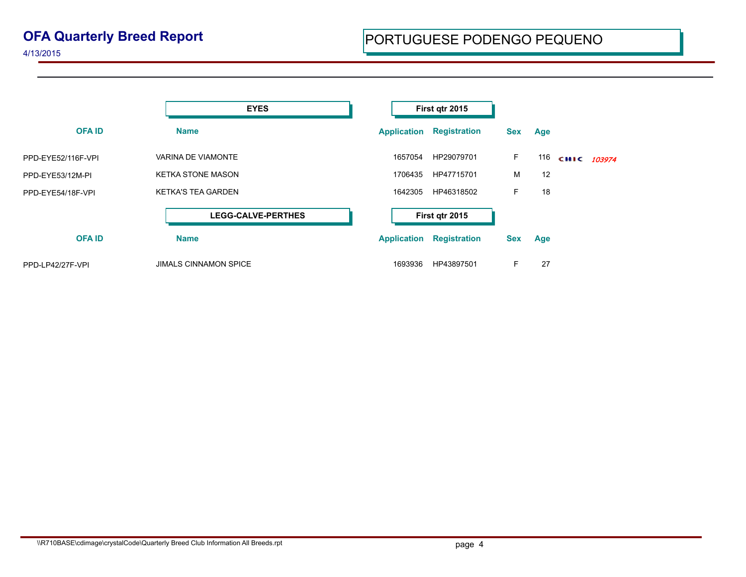## **OFA Quarterly Breed Report**

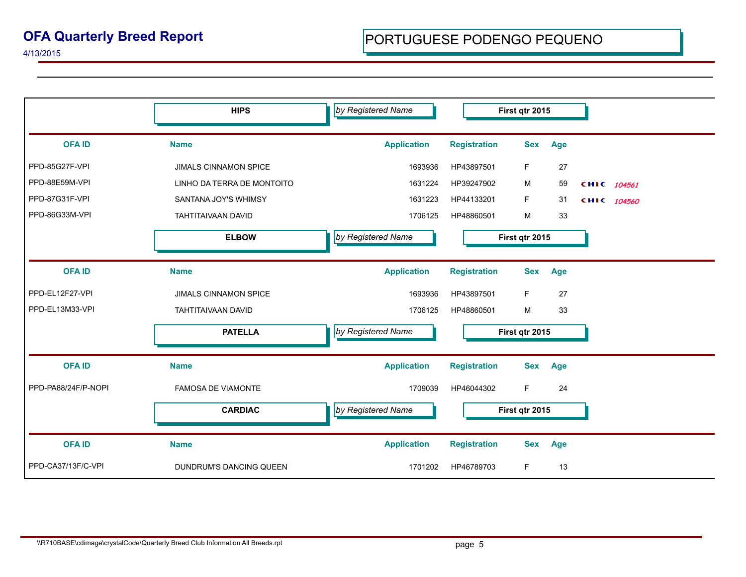|                     | <b>HIPS</b>                  | by Registered Name |                     | First qtr 2015    |             |
|---------------------|------------------------------|--------------------|---------------------|-------------------|-------------|
| <b>OFAID</b>        | <b>Name</b>                  | <b>Application</b> | <b>Registration</b> | <b>Sex</b><br>Age |             |
| PPD-85G27F-VPI      | <b>JIMALS CINNAMON SPICE</b> | 1693936            | HP43897501          | F.<br>27          |             |
| PPD-88E59M-VPI      | LINHO DA TERRA DE MONTOITO   | 1631224            | HP39247902          | 59<br>м           | CHIC 104561 |
| PPD-87G31F-VPI      | SANTANA JOY'S WHIMSY         | 1631223            | HP44133201          | F.<br>31          | CHIC 104560 |
| PPD-86G33M-VPI      | <b>TAHTITAIVAAN DAVID</b>    | 1706125            | HP48860501          | M<br>33           |             |
|                     | <b>ELBOW</b>                 | by Registered Name | First qtr 2015      |                   |             |
| <b>OFAID</b>        | <b>Name</b>                  | <b>Application</b> | <b>Registration</b> | Age<br><b>Sex</b> |             |
| PPD-EL12F27-VPI     | <b>JIMALS CINNAMON SPICE</b> | 1693936            | HP43897501          | F.<br>27          |             |
| PPD-EL13M33-VPI     | TAHTITAIVAAN DAVID           | 1706125            | HP48860501          | M<br>33           |             |
|                     | <b>PATELLA</b>               | by Registered Name | First qtr 2015      |                   |             |
| <b>OFAID</b>        | <b>Name</b>                  | <b>Application</b> | <b>Registration</b> | <b>Sex</b><br>Age |             |
| PPD-PA88/24F/P-NOPI | <b>FAMOSA DE VIAMONTE</b>    | 1709039            | HP46044302          | F<br>24           |             |
|                     | <b>CARDIAC</b>               | by Registered Name | First qtr 2015      |                   |             |
| <b>OFAID</b>        | <b>Name</b>                  | <b>Application</b> | <b>Registration</b> | <b>Sex</b><br>Age |             |
| PPD-CA37/13F/C-VPI  | DUNDRUM'S DANCING QUEEN      | 1701202            | HP46789703          | F<br>13           |             |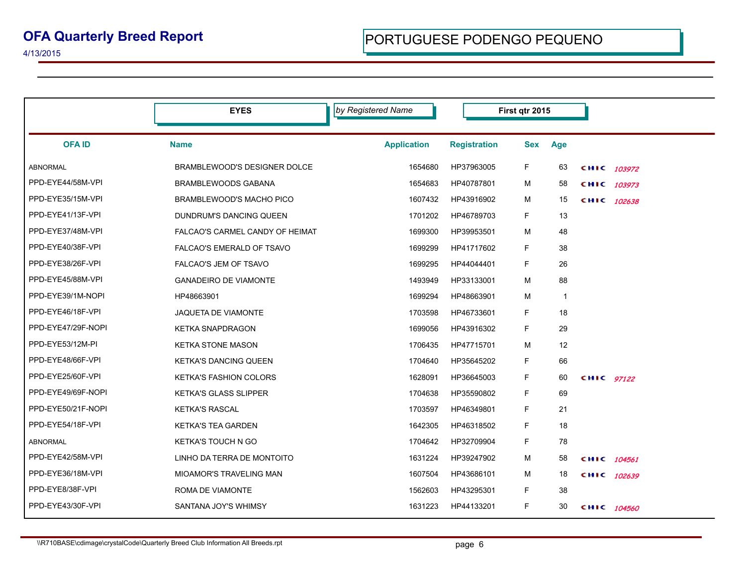|                    | <b>EYES</b>                     | by Registered Name | First qtr 2015      |            |            |            |             |
|--------------------|---------------------------------|--------------------|---------------------|------------|------------|------------|-------------|
| <b>OFAID</b>       | <b>Name</b>                     | <b>Application</b> | <b>Registration</b> | <b>Sex</b> | <b>Age</b> |            |             |
| ABNORMAL           | BRAMBLEWOOD'S DESIGNER DOLCE    | 1654680            | HP37963005          | F.         | 63         |            | CHIC 103972 |
| PPD-EYE44/58M-VPI  | BRAMBLEWOODS GABANA             | 1654683            | HP40787801          | м          | 58         |            | CHIC 103973 |
| PPD-EYE35/15M-VPI  | BRAMBLEWOOD'S MACHO PICO        | 1607432            | HP43916902          | М          | 15         |            | CHIC 102638 |
| PPD-EYE41/13F-VPI  | DUNDRUM'S DANCING QUEEN         | 1701202            | HP46789703          | F.         | 13         |            |             |
| PPD-EYE37/48M-VPI  | FALCAO'S CARMEL CANDY OF HEIMAT | 1699300            | HP39953501          | М          | 48         |            |             |
| PPD-EYE40/38F-VPI  | FALCAO'S EMERALD OF TSAVO       | 1699299            | HP41717602          | F          | 38         |            |             |
| PPD-EYE38/26F-VPI  | <b>FALCAO'S JEM OF TSAVO</b>    | 1699295            | HP44044401          | F.         | 26         |            |             |
| PPD-EYE45/88M-VPI  | <b>GANADEIRO DE VIAMONTE</b>    | 1493949            | HP33133001          | М          | 88         |            |             |
| PPD-EYE39/1M-NOPI  | HP48663901                      | 1699294            | HP48663901          | М          | 1          |            |             |
| PPD-EYE46/18F-VPI  | <b>JAQUETA DE VIAMONTE</b>      | 1703598            | HP46733601          | F          | 18         |            |             |
| PPD-EYE47/29F-NOPI | <b>KETKA SNAPDRAGON</b>         | 1699056            | HP43916302          | F          | 29         |            |             |
| PPD-EYE53/12M-PI   | <b>KETKA STONE MASON</b>        | 1706435            | HP47715701          | М          | 12         |            |             |
| PPD-EYE48/66F-VPI  | <b>KETKA'S DANCING QUEEN</b>    | 1704640            | HP35645202          | F.         | 66         |            |             |
| PPD-EYE25/60F-VPI  | <b>KETKA'S FASHION COLORS</b>   | 1628091            | HP36645003          | F          | 60         | CHIC 97122 |             |
| PPD-EYE49/69F-NOPI | <b>KETKA'S GLASS SLIPPER</b>    | 1704638            | HP35590802          | F.         | 69         |            |             |
| PPD-EYE50/21F-NOPI | <b>KETKA'S RASCAL</b>           | 1703597            | HP46349801          | F.         | 21         |            |             |
| PPD-EYE54/18F-VPI  | <b>KETKA'S TEA GARDEN</b>       | 1642305            | HP46318502          | F          | 18         |            |             |
| <b>ABNORMAL</b>    | <b>KETKA'S TOUCH N GO</b>       | 1704642            | HP32709904          | F          | 78         |            |             |
| PPD-EYE42/58M-VPI  | LINHO DA TERRA DE MONTOITO      | 1631224            | HP39247902          | М          | 58         |            | CHIC 104561 |
| PPD-EYE36/18M-VPI  | <b>MIOAMOR'S TRAVELING MAN</b>  | 1607504            | HP43686101          | м          | 18         |            | CHIC 102639 |
| PPD-EYE8/38F-VPI   | ROMA DE VIAMONTE                | 1562603            | HP43295301          | F.         | 38         |            |             |
| PPD-EYE43/30F-VPI  | SANTANA JOY'S WHIMSY            | 1631223            | HP44133201          | F.         | 30         |            | CHIC 104560 |